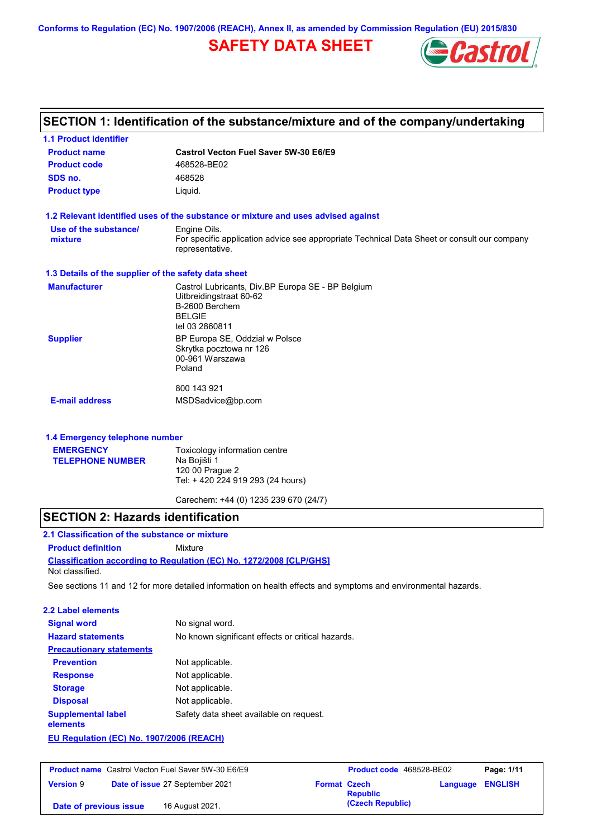**Conforms to Regulation (EC) No. 1907/2006 (REACH), Annex II, as amended by Commission Regulation (EU) 2015/830**

# **SAFETY DATA SHEET**



| SECTION 1: Identification of the substance/mixture and of the company/undertaking |                                                                                                                |  |  |
|-----------------------------------------------------------------------------------|----------------------------------------------------------------------------------------------------------------|--|--|
| <b>1.1 Product identifier</b>                                                     |                                                                                                                |  |  |
| <b>Product name</b>                                                               | Castrol Vecton Fuel Saver 5W-30 E6/E9                                                                          |  |  |
| <b>Product code</b>                                                               | 468528-BE02                                                                                                    |  |  |
| SDS no.                                                                           | 468528                                                                                                         |  |  |
| <b>Product type</b>                                                               | Liquid.                                                                                                        |  |  |
|                                                                                   | 1.2 Relevant identified uses of the substance or mixture and uses advised against                              |  |  |
| Use of the substance/                                                             | Engine Oils.                                                                                                   |  |  |
| mixture                                                                           | For specific application advice see appropriate Technical Data Sheet or consult our company<br>representative. |  |  |
| 1.3 Details of the supplier of the safety data sheet                              |                                                                                                                |  |  |
| <b>Manufacturer</b>                                                               | Castrol Lubricants, Div.BP Europa SE - BP Belgium                                                              |  |  |
|                                                                                   | Uitbreidingstraat 60-62<br>B-2600 Berchem                                                                      |  |  |
|                                                                                   | <b>BELGIE</b>                                                                                                  |  |  |
|                                                                                   | tel 03 2860811                                                                                                 |  |  |
| <b>Supplier</b>                                                                   | BP Europa SE, Oddział w Polsce                                                                                 |  |  |
|                                                                                   | Skrytka pocztowa nr 126                                                                                        |  |  |
|                                                                                   | 00-961 Warszawa<br>Poland                                                                                      |  |  |
|                                                                                   |                                                                                                                |  |  |
|                                                                                   | 800 143 921                                                                                                    |  |  |
| <b>E-mail address</b>                                                             | MSDSadvice@bp.com                                                                                              |  |  |
| 1.4 Emergency telephone number                                                    |                                                                                                                |  |  |
| <b>EMERGENCY</b>                                                                  | Toxicology information centre                                                                                  |  |  |
| <b>TELEPHONE NUMBER</b>                                                           | Na Bojišti 1                                                                                                   |  |  |
|                                                                                   | 120 00 Praque 2                                                                                                |  |  |
|                                                                                   | Tel: +420 224 919 293 (24 hours)                                                                               |  |  |
|                                                                                   |                                                                                                                |  |  |

Carechem: +44 (0) 1235 239 670 (24/7)

### **SECTION 2: Hazards identification**

**Classification according to Regulation (EC) No. 1272/2008 [CLP/GHS] 2.1 Classification of the substance or mixture Product definition** Mixture Not classified.

See sections 11 and 12 for more detailed information on health effects and symptoms and environmental hazards.

| 2.2 Label elements                       |                                                   |
|------------------------------------------|---------------------------------------------------|
| <b>Signal word</b>                       | No signal word.                                   |
| <b>Hazard statements</b>                 | No known significant effects or critical hazards. |
| <b>Precautionary statements</b>          |                                                   |
| <b>Prevention</b>                        | Not applicable.                                   |
| <b>Response</b>                          | Not applicable.                                   |
| <b>Storage</b>                           | Not applicable.                                   |
| <b>Disposal</b>                          | Not applicable.                                   |
| <b>Supplemental label</b><br>elements    | Safety data sheet available on request.           |
| EU Regulation (EC) No. 1907/2006 (REACH) |                                                   |

**Product name** Castrol Vecton Fuel Saver 5W-30 E6/E9 **Product Code 468528-BE02 Page: 1/11 Version** 9 **Date of issue** 27 September 2021 **Format Czech Republic Language ENGLISH (Czech Republic) Date of previous issue** 16 August 2021.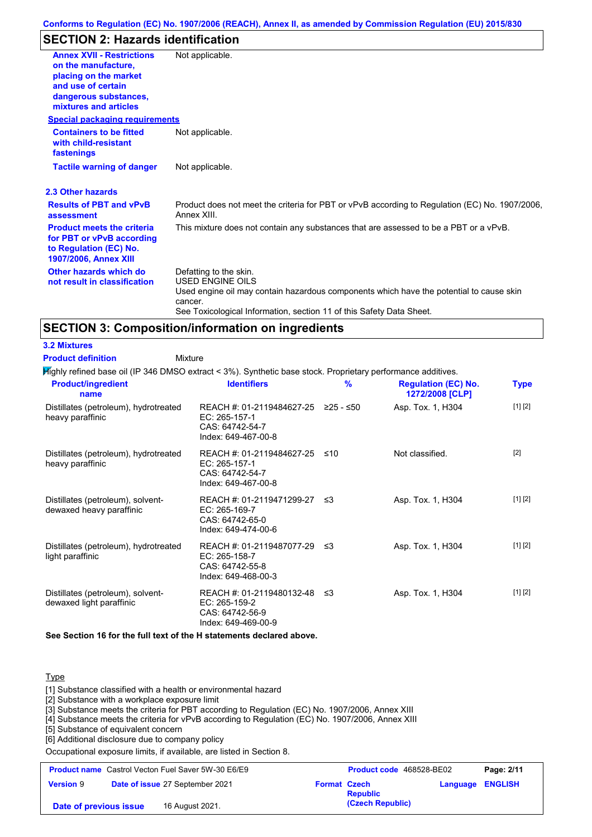# **SECTION 2: Hazards identification**

| <b>Annex XVII - Restrictions</b><br>on the manufacture,<br>placing on the market<br>and use of certain<br>dangerous substances,<br>mixtures and articles<br><b>Special packaging requirements</b> | Not applicable.                                                                                                                                                                                                                 |
|---------------------------------------------------------------------------------------------------------------------------------------------------------------------------------------------------|---------------------------------------------------------------------------------------------------------------------------------------------------------------------------------------------------------------------------------|
| <b>Containers to be fitted</b><br>with child-resistant<br>fastenings                                                                                                                              | Not applicable.                                                                                                                                                                                                                 |
| <b>Tactile warning of danger</b>                                                                                                                                                                  | Not applicable.                                                                                                                                                                                                                 |
| 2.3 Other hazards                                                                                                                                                                                 |                                                                                                                                                                                                                                 |
| <b>Results of PBT and vPvB</b><br>assessment                                                                                                                                                      | Product does not meet the criteria for PBT or vPvB according to Regulation (EC) No. 1907/2006,<br>Annex XIII.                                                                                                                   |
| <b>Product meets the criteria</b><br>for PBT or vPvB according<br>to Regulation (EC) No.<br><b>1907/2006, Annex XIII</b>                                                                          | This mixture does not contain any substances that are assessed to be a PBT or a vPvB.                                                                                                                                           |
| Other hazards which do<br>not result in classification                                                                                                                                            | Defatting to the skin.<br><b>USED ENGINE OILS</b><br>Used engine oil may contain hazardous components which have the potential to cause skin<br>cancer.<br>See Toxicological Information, section 11 of this Safety Data Sheet. |

# **SECTION 3: Composition/information on ingredients**

**Mixture** 

### **3.2 Mixtures**

**Product definition**

Highly refined base oil (IP 346 DMSO extract < 3%). Synthetic base stock. Proprietary performance additives.

| <b>Product/ingredient</b><br>name                             | <b>Identifiers</b>                                                                   | $\frac{9}{6}$ | <b>Regulation (EC) No.</b><br>1272/2008 [CLP] | <b>Type</b> |
|---------------------------------------------------------------|--------------------------------------------------------------------------------------|---------------|-----------------------------------------------|-------------|
| Distillates (petroleum), hydrotreated<br>heavy paraffinic     | REACH #: 01-2119484627-25<br>EC: 265-157-1<br>CAS: 64742-54-7<br>Index: 649-467-00-8 | ≥25 - ≤50     | Asp. Tox. 1, H304                             | [1] [2]     |
| Distillates (petroleum), hydrotreated<br>heavy paraffinic     | REACH #: 01-2119484627-25<br>EC: 265-157-1<br>CAS: 64742-54-7<br>Index: 649-467-00-8 | ≤10           | Not classified.                               | $[2]$       |
| Distillates (petroleum), solvent-<br>dewaxed heavy paraffinic | REACH #: 01-2119471299-27<br>EC: 265-169-7<br>CAS: 64742-65-0<br>Index: 649-474-00-6 | -≤3           | Asp. Tox. 1, H304                             | [1] [2]     |
| Distillates (petroleum), hydrotreated<br>light paraffinic     | REACH #: 01-2119487077-29<br>EC: 265-158-7<br>CAS: 64742-55-8<br>Index: 649-468-00-3 | -≤3           | Asp. Tox. 1, H304                             | [1] [2]     |
| Distillates (petroleum), solvent-<br>dewaxed light paraffinic | REACH #: 01-2119480132-48<br>EC: 265-159-2<br>CAS: 64742-56-9<br>Index: 649-469-00-9 | ב≥            | Asp. Tox. 1, H304                             | [1] [2]     |

**See Section 16 for the full text of the H statements declared above.**

#### Type

[1] Substance classified with a health or environmental hazard

[2] Substance with a workplace exposure limit

[3] Substance meets the criteria for PBT according to Regulation (EC) No. 1907/2006, Annex XIII

[4] Substance meets the criteria for vPvB according to Regulation (EC) No. 1907/2006, Annex XIII

[5] Substance of equivalent concern

[6] Additional disclosure due to company policy

Occupational exposure limits, if available, are listed in Section 8.

| <b>Product name</b> Castrol Vecton Fuel Saver 5W-30 E6/E9 |                                 | <b>Product code</b> 468528-BE02 |                  | Page: 2/11              |  |
|-----------------------------------------------------------|---------------------------------|---------------------------------|------------------|-------------------------|--|
| <b>Version 9</b>                                          | Date of issue 27 September 2021 | <b>Format Czech</b>             | <b>Republic</b>  | <b>Language ENGLISH</b> |  |
| Date of previous issue                                    | 16 August 2021.                 |                                 | (Czech Republic) |                         |  |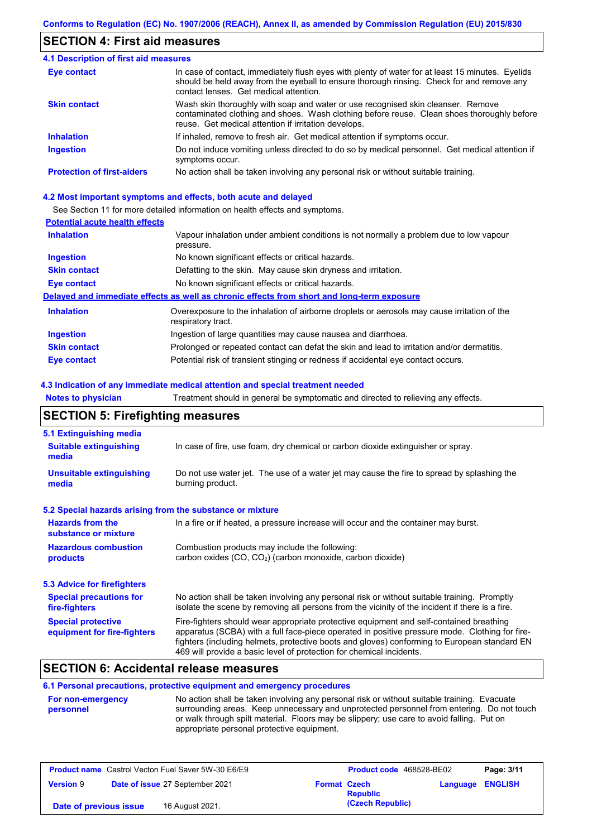### **SECTION 4: First aid measures**

#### Do not induce vomiting unless directed to do so by medical personnel. Get medical attention if symptoms occur. In case of contact, immediately flush eyes with plenty of water for at least 15 minutes. Eyelids should be held away from the eyeball to ensure thorough rinsing. Check for and remove any contact lenses. Get medical attention. **4.1 Description of first aid measures** If inhaled, remove to fresh air. Get medical attention if symptoms occur. **Ingestion Inhalation Eye contact Protection of first-aiders** No action shall be taken involving any personal risk or without suitable training. **Skin contact** Wash skin thoroughly with soap and water or use recognised skin cleanser. Remove contaminated clothing and shoes. Wash clothing before reuse. Clean shoes thoroughly before reuse. Get medical attention if irritation develops.

#### **4.2 Most important symptoms and effects, both acute and delayed**

See Section 11 for more detailed information on health effects and symptoms.

### **Potential acute health effects**

| <b>Inhalation</b>   | Vapour inhalation under ambient conditions is not normally a problem due to low vapour<br>pressure.               |
|---------------------|-------------------------------------------------------------------------------------------------------------------|
| <b>Ingestion</b>    | No known significant effects or critical hazards.                                                                 |
| <b>Skin contact</b> | Defatting to the skin. May cause skin dryness and irritation.                                                     |
| Eye contact         | No known significant effects or critical hazards.                                                                 |
|                     | Delayed and immediate effects as well as chronic effects from short and long-term exposure                        |
| <b>Inhalation</b>   | Overexposure to the inhalation of airborne droplets or aerosols may cause irritation of the<br>respiratory tract. |
| <b>Ingestion</b>    | Ingestion of large quantities may cause nausea and diarrhoea.                                                     |
| <b>Skin contact</b> | Prolonged or repeated contact can defat the skin and lead to irritation and/or dermatitis.                        |
| Eye contact         | Potential risk of transient stinging or redness if accidental eye contact occurs.                                 |

#### **4.3 Indication of any immediate medical attention and special treatment needed**

**Notes to physician** Treatment should in general be symptomatic and directed to relieving any effects.

### **SECTION 5: Firefighting measures**

| 5.1 Extinguishing media                                   |                                                                                                                                                                                                                                                                                                                                                                   |
|-----------------------------------------------------------|-------------------------------------------------------------------------------------------------------------------------------------------------------------------------------------------------------------------------------------------------------------------------------------------------------------------------------------------------------------------|
| <b>Suitable extinguishing</b><br>media                    | In case of fire, use foam, dry chemical or carbon dioxide extinguisher or spray.                                                                                                                                                                                                                                                                                  |
| <b>Unsuitable extinguishing</b><br>media                  | Do not use water jet. The use of a water jet may cause the fire to spread by splashing the<br>burning product.                                                                                                                                                                                                                                                    |
| 5.2 Special hazards arising from the substance or mixture |                                                                                                                                                                                                                                                                                                                                                                   |
| <b>Hazards from the</b><br>substance or mixture           | In a fire or if heated, a pressure increase will occur and the container may burst.                                                                                                                                                                                                                                                                               |
| <b>Hazardous combustion</b><br>products                   | Combustion products may include the following:<br>carbon oxides $(CO, CO2)$ (carbon monoxide, carbon dioxide)                                                                                                                                                                                                                                                     |
| 5.3 Advice for firefighters                               |                                                                                                                                                                                                                                                                                                                                                                   |
| <b>Special precautions for</b><br>fire-fighters           | No action shall be taken involving any personal risk or without suitable training. Promptly<br>isolate the scene by removing all persons from the vicinity of the incident if there is a fire.                                                                                                                                                                    |
| <b>Special protective</b><br>equipment for fire-fighters  | Fire-fighters should wear appropriate protective equipment and self-contained breathing<br>apparatus (SCBA) with a full face-piece operated in positive pressure mode. Clothing for fire-<br>fighters (including helmets, protective boots and gloves) conforming to European standard EN<br>469 will provide a basic level of protection for chemical incidents. |

### **SECTION 6: Accidental release measures**

### **6.1 Personal precautions, protective equipment and emergency procedures**

| <b>For non-emergency</b> | No action shall be taken involving any personal risk or without suitable training. Evacuate                                             |
|--------------------------|-----------------------------------------------------------------------------------------------------------------------------------------|
| personnel                | surrounding areas. Keep unnecessary and unprotected personnel from entering. Do not touch                                               |
|                          | or walk through spilt material. Floors may be slippery; use care to avoid falling. Put on<br>appropriate personal protective equipment. |
|                          |                                                                                                                                         |

| <b>Product name</b> Castrol Vecton Fuel Saver 5W-30 E6/E9 |  | Product code 468528-BE02        |                     | Page: 3/11       |                         |  |
|-----------------------------------------------------------|--|---------------------------------|---------------------|------------------|-------------------------|--|
| <b>Version 9</b>                                          |  | Date of issue 27 September 2021 | <b>Format Czech</b> | <b>Republic</b>  | <b>Language ENGLISH</b> |  |
| Date of previous issue                                    |  | 16 August 2021.                 |                     | (Czech Republic) |                         |  |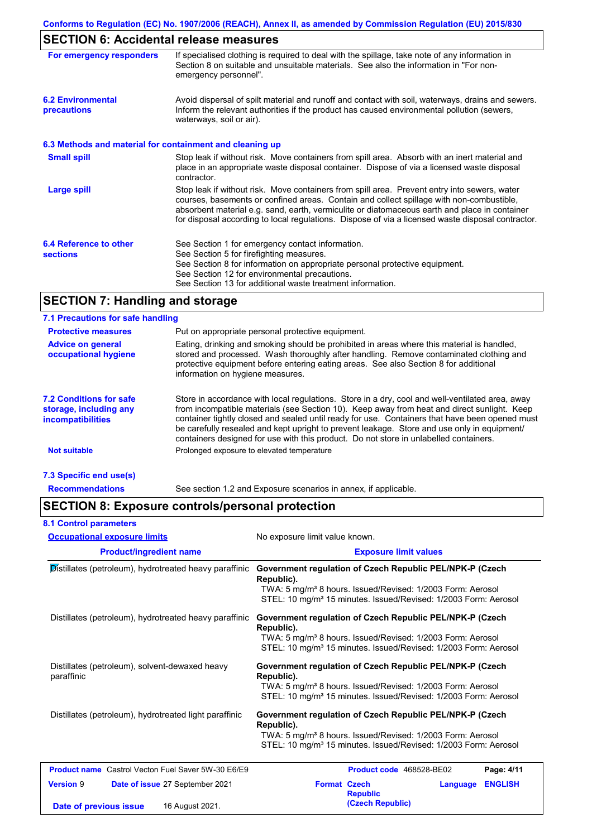# **SECTION 6: Accidental release measures**

| For emergency responders                                 | If specialised clothing is required to deal with the spillage, take note of any information in<br>Section 8 on suitable and unsuitable materials. See also the information in "For non-<br>emergency personnel".                                                                                                                                                                               |
|----------------------------------------------------------|------------------------------------------------------------------------------------------------------------------------------------------------------------------------------------------------------------------------------------------------------------------------------------------------------------------------------------------------------------------------------------------------|
| <b>6.2 Environmental</b><br>precautions                  | Avoid dispersal of spilt material and runoff and contact with soil, waterways, drains and sewers.<br>Inform the relevant authorities if the product has caused environmental pollution (sewers,<br>waterways, soil or air).                                                                                                                                                                    |
| 6.3 Methods and material for containment and cleaning up |                                                                                                                                                                                                                                                                                                                                                                                                |
| <b>Small spill</b>                                       | Stop leak if without risk. Move containers from spill area. Absorb with an inert material and<br>place in an appropriate waste disposal container. Dispose of via a licensed waste disposal<br>contractor.                                                                                                                                                                                     |
| <b>Large spill</b>                                       | Stop leak if without risk. Move containers from spill area. Prevent entry into sewers, water<br>courses, basements or confined areas. Contain and collect spillage with non-combustible,<br>absorbent material e.g. sand, earth, vermiculite or diatomaceous earth and place in container<br>for disposal according to local regulations. Dispose of via a licensed waste disposal contractor. |
| 6.4 Reference to other<br><b>sections</b>                | See Section 1 for emergency contact information.<br>See Section 5 for firefighting measures.<br>See Section 8 for information on appropriate personal protective equipment.<br>See Section 12 for environmental precautions.<br>See Section 13 for additional waste treatment information.                                                                                                     |

# **SECTION 7: Handling and storage**

### **7.1 Precautions for safe handling**

**8.1 Control parameters**

| <b>Protective measures</b>                                                           | Put on appropriate personal protective equipment.                                                                                                                                                                                                                                                                                                                                                                                                                                        |
|--------------------------------------------------------------------------------------|------------------------------------------------------------------------------------------------------------------------------------------------------------------------------------------------------------------------------------------------------------------------------------------------------------------------------------------------------------------------------------------------------------------------------------------------------------------------------------------|
| <b>Advice on general</b><br>occupational hygiene                                     | Eating, drinking and smoking should be prohibited in areas where this material is handled.<br>stored and processed. Wash thoroughly after handling. Remove contaminated clothing and<br>protective equipment before entering eating areas. See also Section 8 for additional<br>information on hygiene measures.                                                                                                                                                                         |
| <b>7.2 Conditions for safe</b><br>storage, including any<br><i>incompatibilities</i> | Store in accordance with local regulations. Store in a dry, cool and well-ventilated area, away<br>from incompatible materials (see Section 10). Keep away from heat and direct sunlight. Keep<br>container tightly closed and sealed until ready for use. Containers that have been opened must<br>be carefully resealed and kept upright to prevent leakage. Store and use only in equipment/<br>containers designed for use with this product. Do not store in unlabelled containers. |
| <b>Not suitable</b>                                                                  | Prolonged exposure to elevated temperature                                                                                                                                                                                                                                                                                                                                                                                                                                               |
| 7.3 Specific end use(s)                                                              |                                                                                                                                                                                                                                                                                                                                                                                                                                                                                          |
|                                                                                      |                                                                                                                                                                                                                                                                                                                                                                                                                                                                                          |

**Recommendations** See section 1.2 and Exposure scenarios in annex, if applicable.

## **SECTION 8: Exposure controls/personal protection**

| <b>Occupational exposure limits</b>                                                              | No exposure limit value known.                                                                                                                                                                                                  |  |  |
|--------------------------------------------------------------------------------------------------|---------------------------------------------------------------------------------------------------------------------------------------------------------------------------------------------------------------------------------|--|--|
| <b>Product/ingredient name</b>                                                                   | <b>Exposure limit values</b>                                                                                                                                                                                                    |  |  |
| Distillates (petroleum), hydrotreated heavy paraffinic                                           | Government regulation of Czech Republic PEL/NPK-P (Czech<br>Republic).<br>TWA: 5 mg/m <sup>3</sup> 8 hours. Issued/Revised: 1/2003 Form: Aerosol<br>STEL: 10 mg/m <sup>3</sup> 15 minutes. Issued/Revised: 1/2003 Form: Aerosol |  |  |
| Distillates (petroleum), hydrotreated heavy paraffinic                                           | Government regulation of Czech Republic PEL/NPK-P (Czech<br>Republic).<br>TWA: 5 mg/m <sup>3</sup> 8 hours. Issued/Revised: 1/2003 Form: Aerosol<br>STEL: 10 mg/m <sup>3</sup> 15 minutes. Issued/Revised: 1/2003 Form: Aerosol |  |  |
| Distillates (petroleum), solvent-dewaxed heavy<br>paraffinic                                     | Government regulation of Czech Republic PEL/NPK-P (Czech<br>Republic).<br>TWA: 5 mg/m <sup>3</sup> 8 hours. Issued/Revised: 1/2003 Form: Aerosol<br>STEL: 10 mg/m <sup>3</sup> 15 minutes. Issued/Revised: 1/2003 Form: Aerosol |  |  |
| Distillates (petroleum), hydrotreated light paraffinic                                           | Government regulation of Czech Republic PEL/NPK-P (Czech<br>Republic).<br>TWA: 5 mg/m <sup>3</sup> 8 hours. Issued/Revised: 1/2003 Form: Aerosol<br>STEL: 10 mg/m <sup>3</sup> 15 minutes. Issued/Revised: 1/2003 Form: Aerosol |  |  |
| <b>Product name</b> Castrol Vecton Fuel Saver 5W-30 E6/E9                                        | Page: 4/11<br>Product code 468528-BE02                                                                                                                                                                                          |  |  |
| <b>Version 9</b><br>Date of issue 27 September 2021<br>16 August 2021.<br>Date of previous issue | <b>Format Czech</b><br><b>ENGLISH</b><br>Language<br><b>Republic</b><br>(Czech Republic)                                                                                                                                        |  |  |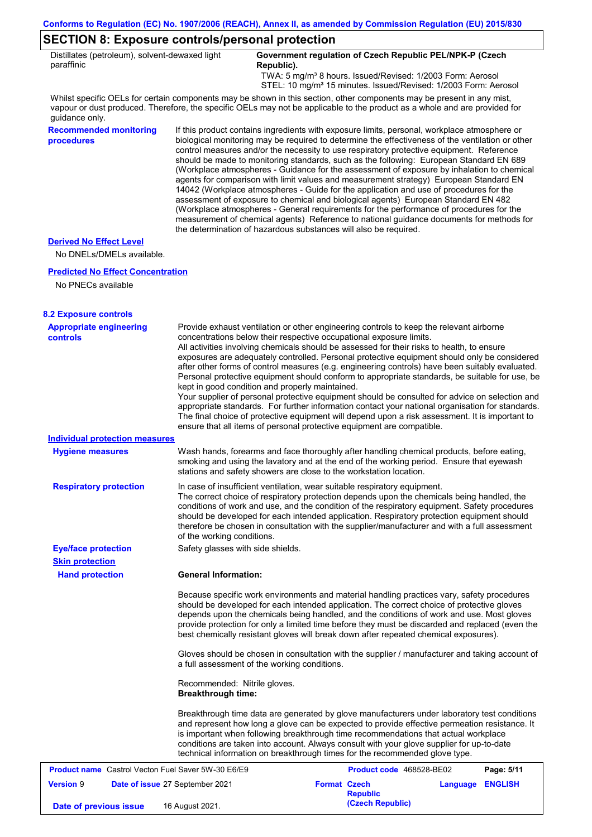### **SECTION 8: Exposure controls/personal protection**

| Distillates (petroleum), solvent-dewaxed light | Government regulation of Czech Republic PEL/NPK-P (Czech                    |
|------------------------------------------------|-----------------------------------------------------------------------------|
| paraffinic                                     | Republic).                                                                  |
|                                                | TWA: 5 mg/m <sup>3</sup> 8 hours. Issued/Revised: 1/2003 Form: Aerosol      |
|                                                | STEL: 10 mg/m <sup>3</sup> 15 minutes. Issued/Revised: 1/2003 Form: Aerosol |

Whilst specific OELs for certain components may be shown in this section, other components may be present in any mist, vapour or dust produced. Therefore, the specific OELs may not be applicable to the product as a whole and are provided for guidance only.

**Recommended monitoring procedures** If this product contains ingredients with exposure limits, personal, workplace atmosphere or biological monitoring may be required to determine the effectiveness of the ventilation or other control measures and/or the necessity to use respiratory protective equipment. Reference should be made to monitoring standards, such as the following: European Standard EN 689 (Workplace atmospheres - Guidance for the assessment of exposure by inhalation to chemical agents for comparison with limit values and measurement strategy) European Standard EN 14042 (Workplace atmospheres - Guide for the application and use of procedures for the assessment of exposure to chemical and biological agents) European Standard EN 482 (Workplace atmospheres - General requirements for the performance of procedures for the measurement of chemical agents) Reference to national guidance documents for methods for the determination of hazardous substances will also be required.

#### **Derived No Effect Level**

No DNELs/DMELs available.

#### **Predicted No Effect Concentration**

No PNECs available

| <b>8.2 Exposure controls</b>                              |                                                                                                                                                                                                                                                                                                                                                                                                                                                                                                                                                                                                                                                                                                                                                                                                                                                                                                                                                                                                         |
|-----------------------------------------------------------|---------------------------------------------------------------------------------------------------------------------------------------------------------------------------------------------------------------------------------------------------------------------------------------------------------------------------------------------------------------------------------------------------------------------------------------------------------------------------------------------------------------------------------------------------------------------------------------------------------------------------------------------------------------------------------------------------------------------------------------------------------------------------------------------------------------------------------------------------------------------------------------------------------------------------------------------------------------------------------------------------------|
| <b>Appropriate engineering</b><br><b>controls</b>         | Provide exhaust ventilation or other engineering controls to keep the relevant airborne<br>concentrations below their respective occupational exposure limits.<br>All activities involving chemicals should be assessed for their risks to health, to ensure<br>exposures are adequately controlled. Personal protective equipment should only be considered<br>after other forms of control measures (e.g. engineering controls) have been suitably evaluated.<br>Personal protective equipment should conform to appropriate standards, be suitable for use, be<br>kept in good condition and properly maintained.<br>Your supplier of personal protective equipment should be consulted for advice on selection and<br>appropriate standards. For further information contact your national organisation for standards.<br>The final choice of protective equipment will depend upon a risk assessment. It is important to<br>ensure that all items of personal protective equipment are compatible. |
| <b>Individual protection measures</b>                     |                                                                                                                                                                                                                                                                                                                                                                                                                                                                                                                                                                                                                                                                                                                                                                                                                                                                                                                                                                                                         |
| <b>Hygiene measures</b>                                   | Wash hands, forearms and face thoroughly after handling chemical products, before eating,<br>smoking and using the lavatory and at the end of the working period. Ensure that eyewash<br>stations and safety showers are close to the workstation location.                                                                                                                                                                                                                                                                                                                                                                                                                                                                                                                                                                                                                                                                                                                                             |
| <b>Respiratory protection</b>                             | In case of insufficient ventilation, wear suitable respiratory equipment.<br>The correct choice of respiratory protection depends upon the chemicals being handled, the<br>conditions of work and use, and the condition of the respiratory equipment. Safety procedures<br>should be developed for each intended application. Respiratory protection equipment should<br>therefore be chosen in consultation with the supplier/manufacturer and with a full assessment<br>of the working conditions.                                                                                                                                                                                                                                                                                                                                                                                                                                                                                                   |
| <b>Eye/face protection</b>                                | Safety glasses with side shields.                                                                                                                                                                                                                                                                                                                                                                                                                                                                                                                                                                                                                                                                                                                                                                                                                                                                                                                                                                       |
| <b>Skin protection</b>                                    |                                                                                                                                                                                                                                                                                                                                                                                                                                                                                                                                                                                                                                                                                                                                                                                                                                                                                                                                                                                                         |
| <b>Hand protection</b>                                    | <b>General Information:</b>                                                                                                                                                                                                                                                                                                                                                                                                                                                                                                                                                                                                                                                                                                                                                                                                                                                                                                                                                                             |
|                                                           | Because specific work environments and material handling practices vary, safety procedures<br>should be developed for each intended application. The correct choice of protective gloves<br>depends upon the chemicals being handled, and the conditions of work and use. Most gloves<br>provide protection for only a limited time before they must be discarded and replaced (even the<br>best chemically resistant gloves will break down after repeated chemical exposures).                                                                                                                                                                                                                                                                                                                                                                                                                                                                                                                        |
|                                                           | Gloves should be chosen in consultation with the supplier / manufacturer and taking account of<br>a full assessment of the working conditions.                                                                                                                                                                                                                                                                                                                                                                                                                                                                                                                                                                                                                                                                                                                                                                                                                                                          |
|                                                           | Recommended: Nitrile gloves.<br><b>Breakthrough time:</b>                                                                                                                                                                                                                                                                                                                                                                                                                                                                                                                                                                                                                                                                                                                                                                                                                                                                                                                                               |
|                                                           | Breakthrough time data are generated by glove manufacturers under laboratory test conditions<br>and represent how long a glove can be expected to provide effective permeation resistance. It<br>is important when following breakthrough time recommendations that actual workplace<br>conditions are taken into account. Always consult with your glove supplier for up-to-date<br>technical information on breakthrough times for the recommended glove type.                                                                                                                                                                                                                                                                                                                                                                                                                                                                                                                                        |
| <b>Product name</b> Castrol Vecton Fuel Saver 5W-30 E6/E9 | <b>Product code</b> 468528-BE02<br>Page: 5/11                                                                                                                                                                                                                                                                                                                                                                                                                                                                                                                                                                                                                                                                                                                                                                                                                                                                                                                                                           |

| <b>Product name</b> Castrol Vecton Fuel Saver 5W-30 E6/E9 |  |                                 | <b>Product code</b> 468528-BE02 |                  | Page: 5/11              |  |
|-----------------------------------------------------------|--|---------------------------------|---------------------------------|------------------|-------------------------|--|
| <b>Version 9</b>                                          |  | Date of issue 27 September 2021 | <b>Format Czech</b>             | <b>Republic</b>  | <b>Language ENGLISH</b> |  |
| Date of previous issue                                    |  | 16 August 2021.                 |                                 | (Czech Republic) |                         |  |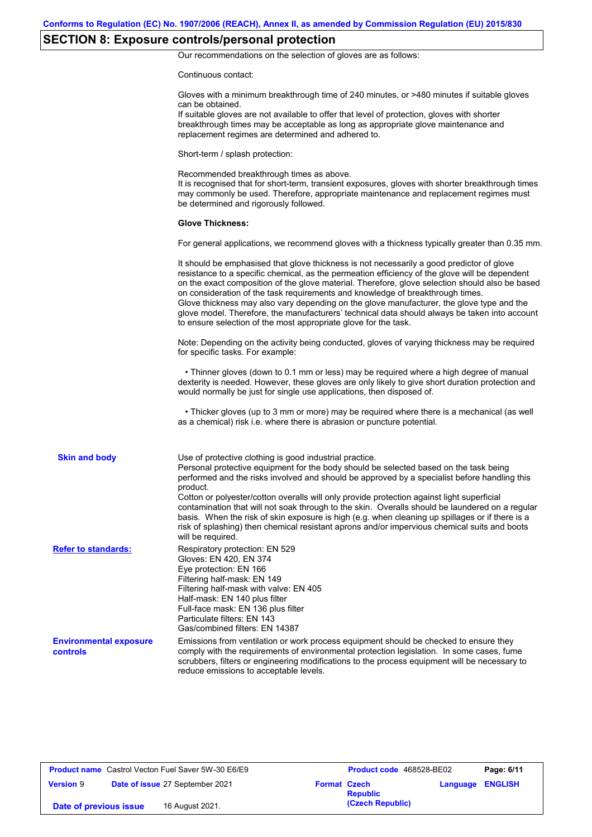# **SECTION 8: Exposure controls/personal protection**

Our recommendations on the selection of gloves are as follows:

Continuous contact:

|                                           | Gloves with a minimum breakthrough time of 240 minutes, or >480 minutes if suitable gloves<br>can be obtained.<br>If suitable gloves are not available to offer that level of protection, gloves with shorter<br>breakthrough times may be acceptable as long as appropriate glove maintenance and<br>replacement regimes are determined and adhered to.                                                                                                                                                                                                                                                                                                         |
|-------------------------------------------|------------------------------------------------------------------------------------------------------------------------------------------------------------------------------------------------------------------------------------------------------------------------------------------------------------------------------------------------------------------------------------------------------------------------------------------------------------------------------------------------------------------------------------------------------------------------------------------------------------------------------------------------------------------|
|                                           | Short-term / splash protection:                                                                                                                                                                                                                                                                                                                                                                                                                                                                                                                                                                                                                                  |
|                                           | Recommended breakthrough times as above.<br>It is recognised that for short-term, transient exposures, gloves with shorter breakthrough times<br>may commonly be used. Therefore, appropriate maintenance and replacement regimes must<br>be determined and rigorously followed.                                                                                                                                                                                                                                                                                                                                                                                 |
|                                           | <b>Glove Thickness:</b>                                                                                                                                                                                                                                                                                                                                                                                                                                                                                                                                                                                                                                          |
|                                           | For general applications, we recommend gloves with a thickness typically greater than 0.35 mm.                                                                                                                                                                                                                                                                                                                                                                                                                                                                                                                                                                   |
|                                           | It should be emphasised that glove thickness is not necessarily a good predictor of glove<br>resistance to a specific chemical, as the permeation efficiency of the glove will be dependent<br>on the exact composition of the glove material. Therefore, glove selection should also be based<br>on consideration of the task requirements and knowledge of breakthrough times.<br>Glove thickness may also vary depending on the glove manufacturer, the glove type and the<br>glove model. Therefore, the manufacturers' technical data should always be taken into account<br>to ensure selection of the most appropriate glove for the task.                |
|                                           | Note: Depending on the activity being conducted, gloves of varying thickness may be required<br>for specific tasks. For example:                                                                                                                                                                                                                                                                                                                                                                                                                                                                                                                                 |
|                                           | • Thinner gloves (down to 0.1 mm or less) may be required where a high degree of manual<br>dexterity is needed. However, these gloves are only likely to give short duration protection and<br>would normally be just for single use applications, then disposed of.                                                                                                                                                                                                                                                                                                                                                                                             |
|                                           | • Thicker gloves (up to 3 mm or more) may be required where there is a mechanical (as well<br>as a chemical) risk i.e. where there is abrasion or puncture potential.                                                                                                                                                                                                                                                                                                                                                                                                                                                                                            |
| <b>Skin and body</b>                      | Use of protective clothing is good industrial practice.<br>Personal protective equipment for the body should be selected based on the task being<br>performed and the risks involved and should be approved by a specialist before handling this<br>product.<br>Cotton or polyester/cotton overalls will only provide protection against light superficial<br>contamination that will not soak through to the skin. Overalls should be laundered on a regular<br>basis. When the risk of skin exposure is high (e.g. when cleaning up spillages or if there is a<br>risk of splashing) then chemical resistant aprons and/or impervious chemical suits and boots |
| <b>Refer to standards:</b>                | will be required.<br>Respiratory protection: EN 529<br>Gloves: EN 420, EN 374<br>Eye protection: EN 166<br>Filtering half-mask: EN 149<br>Filtering half-mask with valve: EN 405<br>Half-mask: EN 140 plus filter<br>Full-face mask: EN 136 plus filter<br>Particulate filters: EN 143<br>Gas/combined filters: EN 14387                                                                                                                                                                                                                                                                                                                                         |
| <b>Environmental exposure</b><br>controls | Emissions from ventilation or work process equipment should be checked to ensure they<br>comply with the requirements of environmental protection legislation. In some cases, fume<br>scrubbers, filters or engineering modifications to the process equipment will be necessary to<br>reduce emissions to acceptable levels.                                                                                                                                                                                                                                                                                                                                    |

|                        | <b>Product name</b> Castrol Vecton Fuel Saver 5W-30 E6/E9 |                     | Product code 468528-BE02 | Page: 6/11              |
|------------------------|-----------------------------------------------------------|---------------------|--------------------------|-------------------------|
| <b>Version 9</b>       | Date of issue 27 September 2021                           | <b>Format Czech</b> | <b>Republic</b>          | <b>Language ENGLISH</b> |
| Date of previous issue | 16 August 2021.                                           |                     | (Czech Republic)         |                         |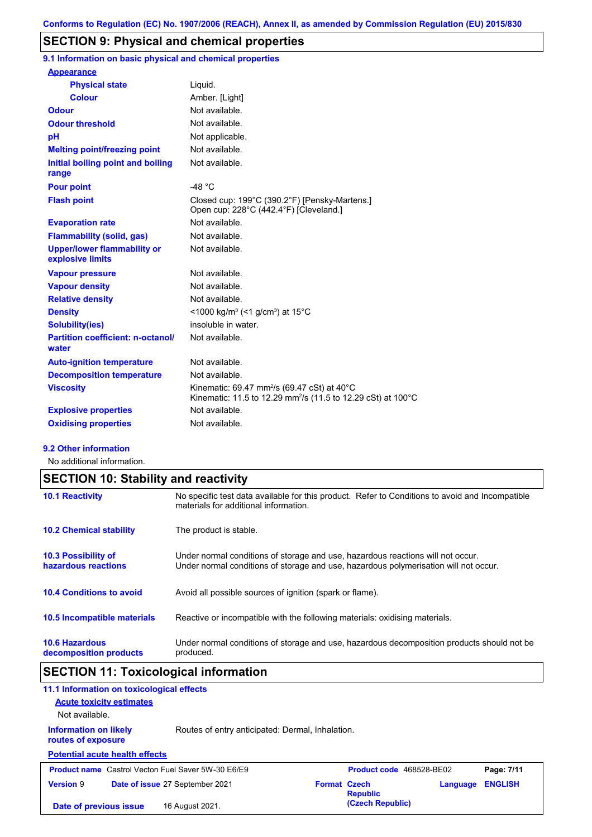### **SECTION 9: Physical and chemical properties**

**9.1 Information on basic physical and chemical properties**

| Liquid.                                                                                                                             |
|-------------------------------------------------------------------------------------------------------------------------------------|
| Amber. [Light]                                                                                                                      |
| Not available                                                                                                                       |
| Not available.                                                                                                                      |
| Not applicable.                                                                                                                     |
| Not available.                                                                                                                      |
| Not available.                                                                                                                      |
| $-48 °C$                                                                                                                            |
| Closed cup: 199°C (390.2°F) [Pensky-Martens.]<br>Open cup: 228°C (442.4°F) [Cleveland.]                                             |
| Not available                                                                                                                       |
| Not available.                                                                                                                      |
| Not available.                                                                                                                      |
| Not available.                                                                                                                      |
| Not available.                                                                                                                      |
| Not available.                                                                                                                      |
| <1000 kg/m <sup>3</sup> (<1 g/cm <sup>3</sup> ) at 15 <sup>°</sup> C                                                                |
| insoluble in water.                                                                                                                 |
| Not available.                                                                                                                      |
| Not available.                                                                                                                      |
| Not available.                                                                                                                      |
| Kinematic: 69.47 mm <sup>2</sup> /s (69.47 cSt) at 40°C<br>Kinematic: 11.5 to 12.29 mm <sup>2</sup> /s (11.5 to 12.29 cSt) at 100°C |
| Not available.                                                                                                                      |
| Not available.                                                                                                                      |
|                                                                                                                                     |

#### **9.2 Other information**

No additional information.

### **10.6 Hazardous decomposition products 10.4 Conditions to avoid** Avoid all possible sources of ignition (spark or flame). Under normal conditions of storage and use, hazardous decomposition products should not be produced. **10.2 Chemical stability** The product is stable. **10.5 Incompatible materials 10.3 Possibility of hazardous reactions** Under normal conditions of storage and use, hazardous reactions will not occur. Under normal conditions of storage and use, hazardous polymerisation will not occur. **SECTION 10: Stability and reactivity 10.1 Reactivity** No specific test data available for this product. Refer to Conditions to avoid and Incompatible materials for additional information. Reactive or incompatible with the following materials: oxidising materials.

### **SECTION 11: Toxicological information**

| 11.1 Information on toxicological effects                                                           |                                                  |                     |                  |          |                |
|-----------------------------------------------------------------------------------------------------|--------------------------------------------------|---------------------|------------------|----------|----------------|
| <b>Acute toxicity estimates</b>                                                                     |                                                  |                     |                  |          |                |
| Not available.                                                                                      |                                                  |                     |                  |          |                |
| <b>Information on likely</b><br>routes of exposure                                                  | Routes of entry anticipated: Dermal, Inhalation. |                     |                  |          |                |
| <b>Potential acute health effects</b>                                                               |                                                  |                     |                  |          |                |
| <b>Product name</b> Castrol Vecton Fuel Saver 5W-30 E6/E9<br>Product code 468528-BE02<br>Page: 7/11 |                                                  |                     |                  |          |                |
| <b>Version 9</b>                                                                                    | Date of issue 27 September 2021                  | <b>Format Czech</b> | <b>Republic</b>  | Language | <b>ENGLISH</b> |
| Date of previous issue                                                                              | 16 August 2021.                                  |                     | (Czech Republic) |          |                |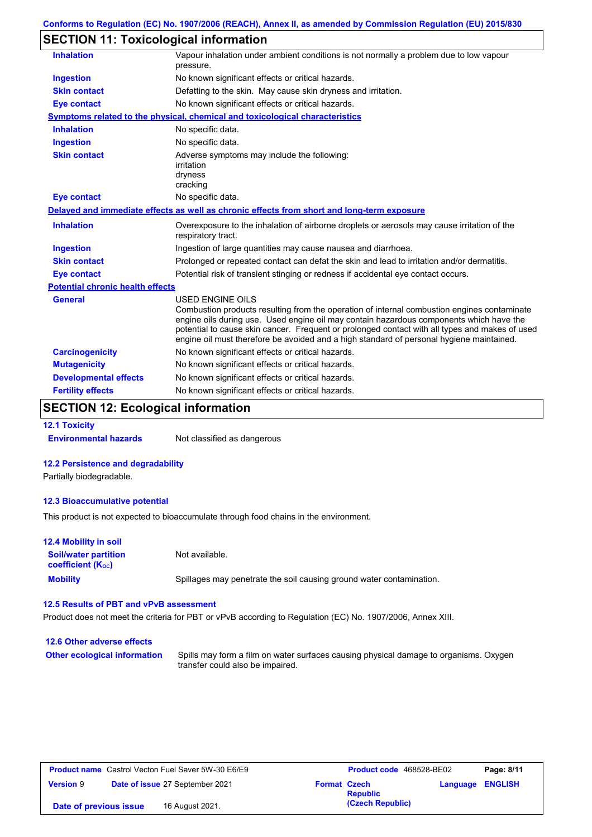# **SECTION 11: Toxicological information**

| <b>Inhalation</b>                       | Vapour inhalation under ambient conditions is not normally a problem due to low vapour<br>pressure.                                                                                                                                                                                                                                                                                                             |
|-----------------------------------------|-----------------------------------------------------------------------------------------------------------------------------------------------------------------------------------------------------------------------------------------------------------------------------------------------------------------------------------------------------------------------------------------------------------------|
| Ingestion                               | No known significant effects or critical hazards.                                                                                                                                                                                                                                                                                                                                                               |
| <b>Skin contact</b>                     | Defatting to the skin. May cause skin dryness and irritation.                                                                                                                                                                                                                                                                                                                                                   |
| <b>Eye contact</b>                      | No known significant effects or critical hazards.                                                                                                                                                                                                                                                                                                                                                               |
|                                         | Symptoms related to the physical, chemical and toxicological characteristics                                                                                                                                                                                                                                                                                                                                    |
| <b>Inhalation</b>                       | No specific data.                                                                                                                                                                                                                                                                                                                                                                                               |
| <b>Ingestion</b>                        | No specific data.                                                                                                                                                                                                                                                                                                                                                                                               |
| <b>Skin contact</b>                     | Adverse symptoms may include the following:<br>irritation<br>dryness<br>cracking                                                                                                                                                                                                                                                                                                                                |
| <b>Eye contact</b>                      | No specific data.                                                                                                                                                                                                                                                                                                                                                                                               |
|                                         | Delayed and immediate effects as well as chronic effects from short and long-term exposure                                                                                                                                                                                                                                                                                                                      |
| <b>Inhalation</b>                       | Overexposure to the inhalation of airborne droplets or aerosols may cause irritation of the<br>respiratory tract.                                                                                                                                                                                                                                                                                               |
| <b>Ingestion</b>                        | Ingestion of large quantities may cause nausea and diarrhoea.                                                                                                                                                                                                                                                                                                                                                   |
| <b>Skin contact</b>                     | Prolonged or repeated contact can defat the skin and lead to irritation and/or dermatitis.                                                                                                                                                                                                                                                                                                                      |
| <b>Eye contact</b>                      | Potential risk of transient stinging or redness if accidental eye contact occurs.                                                                                                                                                                                                                                                                                                                               |
| <b>Potential chronic health effects</b> |                                                                                                                                                                                                                                                                                                                                                                                                                 |
| <b>General</b>                          | <b>USED ENGINE OILS</b><br>Combustion products resulting from the operation of internal combustion engines contaminate<br>engine oils during use. Used engine oil may contain hazardous components which have the<br>potential to cause skin cancer. Frequent or prolonged contact with all types and makes of used<br>engine oil must therefore be avoided and a high standard of personal hygiene maintained. |
| <b>Carcinogenicity</b>                  | No known significant effects or critical hazards.                                                                                                                                                                                                                                                                                                                                                               |
| <b>Mutagenicity</b>                     | No known significant effects or critical hazards.                                                                                                                                                                                                                                                                                                                                                               |
| <b>Developmental effects</b>            | No known significant effects or critical hazards.                                                                                                                                                                                                                                                                                                                                                               |
| <b>Fertility effects</b>                | No known significant effects or critical hazards.                                                                                                                                                                                                                                                                                                                                                               |
|                                         |                                                                                                                                                                                                                                                                                                                                                                                                                 |

### **SECTION 12: Ecological information**

### **12.1 Toxicity**

**Environmental hazards** Not classified as dangerous

#### **12.2 Persistence and degradability**

Partially biodegradable.

#### **12.3 Bioaccumulative potential**

This product is not expected to bioaccumulate through food chains in the environment.

| <b>12.4 Mobility in soil</b>                            |                                                                      |
|---------------------------------------------------------|----------------------------------------------------------------------|
| <b>Soil/water partition</b><br><b>coefficient (Koc)</b> | Not available.                                                       |
| <b>Mobility</b>                                         | Spillages may penetrate the soil causing ground water contamination. |

#### **12.5 Results of PBT and vPvB assessment**

Product does not meet the criteria for PBT or vPvB according to Regulation (EC) No. 1907/2006, Annex XIII.

### **12.6 Other adverse effects Other ecological information**

Spills may form a film on water surfaces causing physical damage to organisms. Oxygen transfer could also be impaired.

| <b>Product name</b> Castrol Vecton Fuel Saver 5W-30 E6/E9 |  |                                 | <b>Product code</b> 468528-BE02 |                  | Page: 8/11              |  |
|-----------------------------------------------------------|--|---------------------------------|---------------------------------|------------------|-------------------------|--|
| <b>Version 9</b>                                          |  | Date of issue 27 September 2021 | <b>Format Czech</b>             | <b>Republic</b>  | <b>Language ENGLISH</b> |  |
| Date of previous issue                                    |  | 16 August 2021.                 |                                 | (Czech Republic) |                         |  |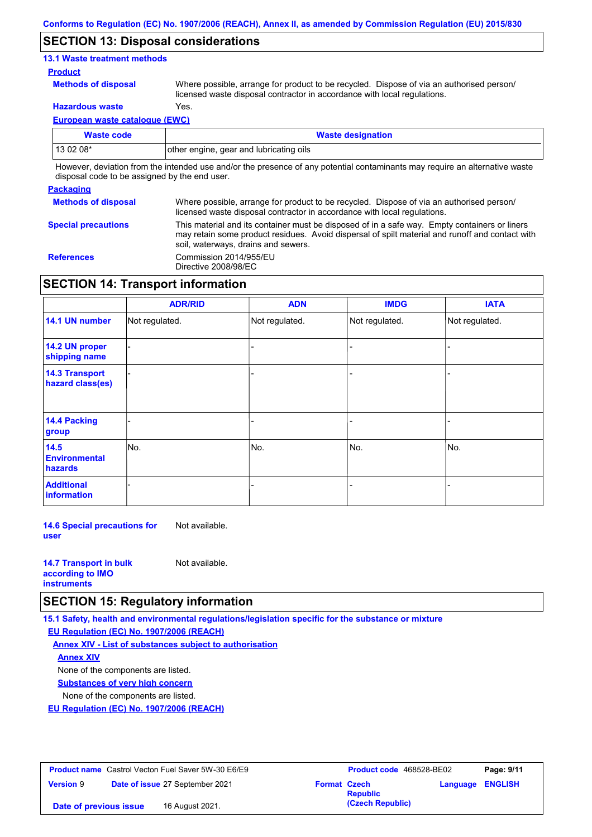### **SECTION 13: Disposal considerations**

### **13.1 Waste treatment methods**

#### **Product**

**Methods of disposal**

Where possible, arrange for product to be recycled. Dispose of via an authorised person/ licensed waste disposal contractor in accordance with local regulations.

**Hazardous waste** Yes.

**European waste catalogue (EWC)**

| Waste code                                                                                                                                                                                                                     | <b>Waste designation</b>                |  |
|--------------------------------------------------------------------------------------------------------------------------------------------------------------------------------------------------------------------------------|-----------------------------------------|--|
| $130208*$                                                                                                                                                                                                                      | other engine, gear and lubricating oils |  |
| The contract and the finish design and a security of an includible contracts and an increased and a second contract of the contract of the contract of the contract of the contract of the contract of the contract of the con |                                         |  |

However, deviation from the intended use and/or the presence of any potential contaminants may require an alternative waste disposal code to be assigned by the end user.

#### **Packaging**

| - ----------               |                                                                                                                                                                                                                                         |
|----------------------------|-----------------------------------------------------------------------------------------------------------------------------------------------------------------------------------------------------------------------------------------|
| <b>Methods of disposal</b> | Where possible, arrange for product to be recycled. Dispose of via an authorised person/<br>licensed waste disposal contractor in accordance with local regulations.                                                                    |
| <b>Special precautions</b> | This material and its container must be disposed of in a safe way. Empty containers or liners<br>may retain some product residues. Avoid dispersal of spilt material and runoff and contact with<br>soil, waterways, drains and sewers. |
| <b>References</b>          | Commission 2014/955/EU<br>Directive 2008/98/EC                                                                                                                                                                                          |

### **SECTION 14: Transport information**

|                                                | <b>ADR/RID</b> | <b>ADN</b>     | <b>IMDG</b>    | <b>IATA</b>    |
|------------------------------------------------|----------------|----------------|----------------|----------------|
| 14.1 UN number                                 | Not regulated. | Not regulated. | Not regulated. | Not regulated. |
| 14.2 UN proper<br>shipping name                |                |                |                |                |
| <b>14.3 Transport</b><br>hazard class(es)      |                |                |                |                |
| 14.4 Packing<br>group                          |                |                |                |                |
| 14.5<br><b>Environmental</b><br><b>hazards</b> | No.            | No.            | No.            | No.            |
| <b>Additional</b><br>information               |                |                |                |                |

**14.6 Special precautions for user** Not available.

| <b>14.7 Transport in bulk</b> | Not available. |
|-------------------------------|----------------|
| according to <b>IMO</b>       |                |
| <b>instruments</b>            |                |

### **SECTION 15: Regulatory information**

**15.1 Safety, health and environmental regulations/legislation specific for the substance or mixture**

**EU Regulation (EC) No. 1907/2006 (REACH)**

**Annex XIV - List of substances subject to authorisation Substances of very high concern** None of the components are listed. None of the components are listed. **Annex XIV**

**EU Regulation (EC) No. 1907/2006 (REACH)**

| <b>Product name</b> Castrol Vecton Fuel Saver 5W-30 E6/E9 |  | <b>Product code</b> 468528-BE02 |                     | Page: 9/11       |                  |  |
|-----------------------------------------------------------|--|---------------------------------|---------------------|------------------|------------------|--|
| <b>Version 9</b>                                          |  | Date of issue 27 September 2021 | <b>Format Czech</b> | <b>Republic</b>  | Language ENGLISH |  |
| Date of previous issue                                    |  | 16 August 2021.                 |                     | (Czech Republic) |                  |  |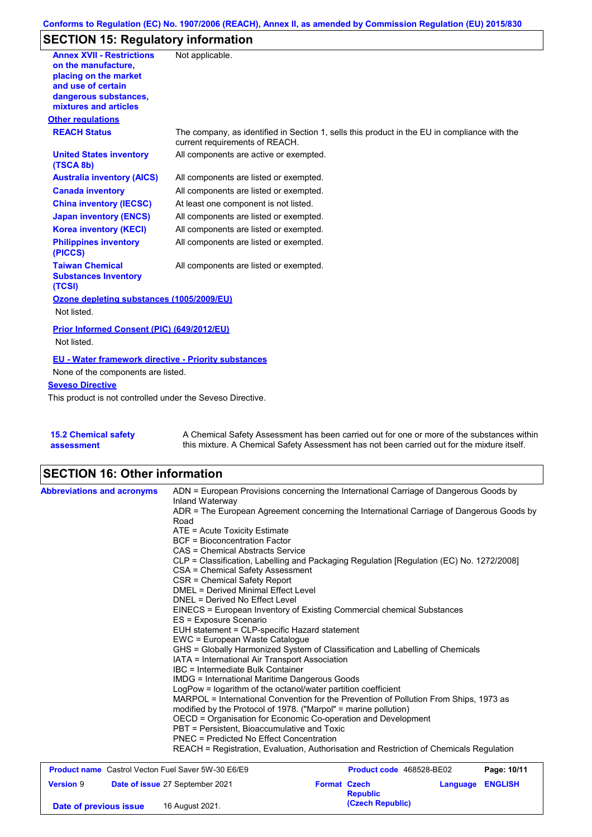# **SECTION 15: Regulatory information**

| <b>Annex XVII - Restrictions</b>                                | Not applicable.                                                                                                                |
|-----------------------------------------------------------------|--------------------------------------------------------------------------------------------------------------------------------|
| on the manufacture.                                             |                                                                                                                                |
| placing on the market                                           |                                                                                                                                |
| and use of certain                                              |                                                                                                                                |
| dangerous substances,<br>mixtures and articles                  |                                                                                                                                |
| <b>Other regulations</b>                                        |                                                                                                                                |
| <b>REACH Status</b>                                             |                                                                                                                                |
|                                                                 | The company, as identified in Section 1, sells this product in the EU in compliance with the<br>current requirements of REACH. |
| <b>United States inventory</b><br>(TSCA 8b)                     | All components are active or exempted.                                                                                         |
| <b>Australia inventory (AICS)</b>                               | All components are listed or exempted.                                                                                         |
| <b>Canada inventory</b>                                         | All components are listed or exempted.                                                                                         |
| <b>China inventory (IECSC)</b>                                  | At least one component is not listed.                                                                                          |
| <b>Japan inventory (ENCS)</b>                                   | All components are listed or exempted.                                                                                         |
| <b>Korea inventory (KECI)</b>                                   | All components are listed or exempted.                                                                                         |
| <b>Philippines inventory</b><br>(PICCS)                         | All components are listed or exempted.                                                                                         |
| <b>Taiwan Chemical</b><br><b>Substances Inventory</b><br>(TCSI) | All components are listed or exempted.                                                                                         |
| Ozone depleting substances (1005/2009/EU)                       |                                                                                                                                |
| Not listed.                                                     |                                                                                                                                |
| Prior Informed Consent (PIC) (649/2012/EU)                      |                                                                                                                                |
| Not listed.                                                     |                                                                                                                                |
| <b>EU - Water framework directive - Priority substances</b>     |                                                                                                                                |
| None of the components are listed.                              |                                                                                                                                |
| <b>Seveso Directive</b>                                         |                                                                                                                                |
| This product is not controlled under the Seveso Directive.      |                                                                                                                                |
|                                                                 |                                                                                                                                |
|                                                                 |                                                                                                                                |
|                                                                 |                                                                                                                                |

| <b>15.2 Chemical safety</b> | A Chemical Safety Assessment has been carried out for one or more of the substances within  |
|-----------------------------|---------------------------------------------------------------------------------------------|
| assessment                  | this mixture. A Chemical Safety Assessment has not been carried out for the mixture itself. |

# **SECTION 16: Other information**

| <b>Abbreviations and acronyms</b>                         | ADN = European Provisions concerning the International Carriage of Dangerous Goods by<br>Inland Waterway<br>ADR = The European Agreement concerning the International Carriage of Dangerous Goods by<br>Road<br>ATE = Acute Toxicity Estimate<br><b>BCF</b> = Bioconcentration Factor<br>CAS = Chemical Abstracts Service<br>CLP = Classification, Labelling and Packaging Regulation [Regulation (EC) No. 1272/2008]<br>CSA = Chemical Safety Assessment<br>CSR = Chemical Safety Report<br><b>DMEL = Derived Minimal Effect Level</b><br>DNEL = Derived No Effect Level<br>EINECS = European Inventory of Existing Commercial chemical Substances<br>ES = Exposure Scenario<br>EUH statement = CLP-specific Hazard statement<br>EWC = European Waste Catalogue<br>GHS = Globally Harmonized System of Classification and Labelling of Chemicals<br>IATA = International Air Transport Association<br>IBC = Intermediate Bulk Container<br><b>IMDG</b> = International Maritime Dangerous Goods<br>LogPow = logarithm of the octanol/water partition coefficient<br>MARPOL = International Convention for the Prevention of Pollution From Ships, 1973 as<br>modified by the Protocol of 1978. ("Marpol" = marine pollution)<br>OECD = Organisation for Economic Co-operation and Development<br>PBT = Persistent. Bioaccumulative and Toxic<br><b>PNEC = Predicted No Effect Concentration</b> |                     |                                     |          |                |
|-----------------------------------------------------------|--------------------------------------------------------------------------------------------------------------------------------------------------------------------------------------------------------------------------------------------------------------------------------------------------------------------------------------------------------------------------------------------------------------------------------------------------------------------------------------------------------------------------------------------------------------------------------------------------------------------------------------------------------------------------------------------------------------------------------------------------------------------------------------------------------------------------------------------------------------------------------------------------------------------------------------------------------------------------------------------------------------------------------------------------------------------------------------------------------------------------------------------------------------------------------------------------------------------------------------------------------------------------------------------------------------------------------------------------------------------------------------------------|---------------------|-------------------------------------|----------|----------------|
|                                                           | REACH = Registration, Evaluation, Authorisation and Restriction of Chemicals Regulation                                                                                                                                                                                                                                                                                                                                                                                                                                                                                                                                                                                                                                                                                                                                                                                                                                                                                                                                                                                                                                                                                                                                                                                                                                                                                                          |                     |                                     |          |                |
| <b>Product name</b> Castrol Vecton Fuel Saver 5W-30 E6/E9 |                                                                                                                                                                                                                                                                                                                                                                                                                                                                                                                                                                                                                                                                                                                                                                                                                                                                                                                                                                                                                                                                                                                                                                                                                                                                                                                                                                                                  |                     | Product code 468528-BE02            |          | Page: 10/11    |
| <b>Version 9</b><br>Date of previous issue                | Date of issue 27 September 2021<br>16 August 2021.                                                                                                                                                                                                                                                                                                                                                                                                                                                                                                                                                                                                                                                                                                                                                                                                                                                                                                                                                                                                                                                                                                                                                                                                                                                                                                                                               | <b>Format Czech</b> | <b>Republic</b><br>(Czech Republic) | Language | <b>ENGLISH</b> |